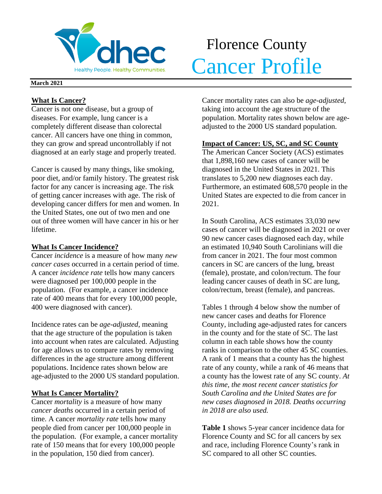

# Florence County **Volhec** Cancer Profile

### **March 2021**

## **What Is Cancer?**

Cancer is not one disease, but a group of diseases. For example, lung cancer is a completely different disease than colorectal cancer. All cancers have one thing in common, they can grow and spread uncontrollably if not diagnosed at an early stage and properly treated.

Cancer is caused by many things, like smoking, poor diet, and/or family history. The greatest risk factor for any cancer is increasing age. The risk of getting cancer increases with age. The risk of developing cancer differs for men and women. In the United States, one out of two men and one out of three women will have cancer in his or her lifetime.

## **What Is Cancer Incidence?**

Cancer *incidence* is a measure of how many *new cancer cases* occurred in a certain period of time. A cancer *incidence rate* tells how many cancers were diagnosed per 100,000 people in the population. (For example, a cancer incidence rate of 400 means that for every 100,000 people, 400 were diagnosed with cancer).

Incidence rates can be *age-adjusted*, meaning that the age structure of the population is taken into account when rates are calculated. Adjusting for age allows us to compare rates by removing differences in the age structure among different populations. Incidence rates shown below are age-adjusted to the 2000 US standard population.

## **What Is Cancer Mortality?**

Cancer *mortality* is a measure of how many *cancer deaths* occurred in a certain period of time. A cancer *mortality rate* tells how many people died from cancer per 100,000 people in the population. (For example, a cancer mortality rate of 150 means that for every 100,000 people in the population, 150 died from cancer).

Cancer mortality rates can also be *age-adjusted*, taking into account the age structure of the population. Mortality rates shown below are ageadjusted to the 2000 US standard population.

## **Impact of Cancer: US, SC, and SC County**

The American Cancer Society (ACS) estimates that 1,898,160 new cases of cancer will be diagnosed in the United States in 2021. This translates to 5,200 new diagnoses each day. Furthermore, an estimated 608,570 people in the United States are expected to die from cancer in 2021.

In South Carolina, ACS estimates 33,030 new cases of cancer will be diagnosed in 2021 or over 90 new cancer cases diagnosed each day, while an estimated 10,940 South Carolinians will die from cancer in 2021. The four most common cancers in SC are cancers of the lung, breast (female), prostate, and colon/rectum. The four leading cancer causes of death in SC are lung, colon/rectum, breast (female), and pancreas.

Tables 1 through 4 below show the number of new cancer cases and deaths for Florence County, including age-adjusted rates for cancers in the county and for the state of SC. The last column in each table shows how the county ranks in comparison to the other 45 SC counties. A rank of 1 means that a county has the highest rate of any county, while a rank of 46 means that a county has the lowest rate of any SC county. *At this time, the most recent cancer statistics for South Carolina and the United States are for new cases diagnosed in 2018. Deaths occurring in 2018 are also used.*

**Table 1** shows 5-year cancer incidence data for Florence County and SC for all cancers by sex and race, including Florence County's rank in SC compared to all other SC counties.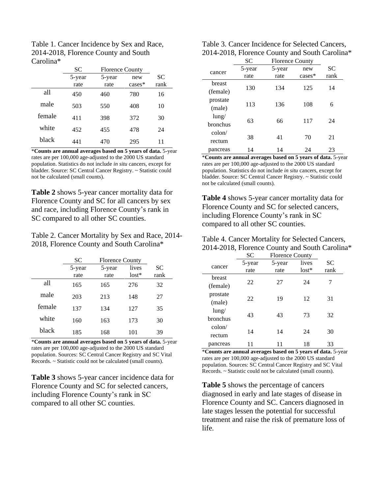| Table 1. Cancer Incidence by Sex and Race, |
|--------------------------------------------|
| 2014-2018, Florence County and South       |
| Carolina*                                  |

|        | SС     | <b>Florence County</b> |           |           |
|--------|--------|------------------------|-----------|-----------|
|        | 5-year | 5-year                 | new       | <b>SC</b> |
|        | rate   | rate                   | $cases^*$ | rank      |
| all    | 450    | 460                    | 780       | 16        |
| male   | 503    | 550                    | 408       | 10        |
| female | 411    | 398                    | 372       | 30        |
| white  | 452    | 455                    | 478       | 24        |
| black  | 441    | 470                    | 295       | 11        |

\***Counts are annual averages based on 5 years of data.** 5-year rates are per 100,000 age-adjusted to the 2000 US standard population. Statistics do not include *in situ* cancers, except for bladder. Source: SC Central Cancer Registry. ~ Statistic could not be calculated (small counts).

**Table 2** shows 5-year cancer mortality data for Florence County and SC for all cancers by sex and race, including Florence County's rank in SC compared to all other SC counties.

Table 2. Cancer Mortality by Sex and Race, 2014- 2018, Florence County and South Carolina\*

|        | SС     | <b>Florence County</b> |         |           |
|--------|--------|------------------------|---------|-----------|
|        | 5-year | 5-year                 | lives   | <b>SC</b> |
|        | rate   | rate                   | $lost*$ | rank      |
| all    | 165    | 165                    | 276     | 32        |
| male   | 203    | 213                    | 148     | 27        |
| female | 137    | 134                    | 127     | 35        |
| white  | 160    | 163                    | 173     | 30        |
| black  | 185    | 168                    | 101     | 39        |

\***Counts are annual averages based on 5 years of data.** 5-year rates are per 100,000 age-adjusted to the 2000 US standard population. Sources: SC Central Cancer Registry and SC Vital Records. ~ Statistic could not be calculated (small counts).

**Table 3** shows 5-year cancer incidence data for Florence County and SC for selected cancers, including Florence County's rank in SC compared to all other SC counties.

| Table 3. Cancer Incidence for Selected Cancers, |
|-------------------------------------------------|
| 2014-2018, Florence County and South Carolina*  |

|          | SC     | <b>Florence County</b> |          |      |  |
|----------|--------|------------------------|----------|------|--|
| cancer   | 5-year | 5-year                 | new      | SС   |  |
|          | rate   | rate                   | $cases*$ | rank |  |
| breast   |        |                        |          |      |  |
| (female) | 130    | 134                    | 125      | 14   |  |
| prostate | 113    | 136                    | 108      | 6    |  |
| (male)   |        |                        |          |      |  |
| $l$ ung/ |        |                        |          |      |  |
| bronchus | 63     | 66                     | 117      | 24   |  |
| colon/   |        |                        |          |      |  |
| rectum   | 38     | 41                     | 70       | 21   |  |
| pancreas | 14     | 14                     | 24       | 23   |  |

\***Counts are annual averages based on 5 years of data.** 5-year rates are per 100,000 age-adjusted to the 2000 US standard population. Statistics do not include *in situ* cancers, except for bladder. Source: SC Central Cancer Registry. ~ Statistic could not be calculated (small counts).

**Table 4** shows 5-year cancer mortality data for Florence County and SC for selected cancers, including Florence County's rank in SC compared to all other SC counties.

| Table 4. Cancer Mortality for Selected Cancers, |
|-------------------------------------------------|
| 2014-2018, Florence County and South Carolina*  |

|                 | <b>SC</b> | <b>Florence County</b> |         |      |
|-----------------|-----------|------------------------|---------|------|
|                 | 5-year    | 5-year                 | lives   | SС   |
| cancer          | rate      | rate                   | $lost*$ | rank |
| breast          |           |                        |         |      |
| (female)        | 22        | 27                     | 24      | 7    |
| prostate        |           |                        |         |      |
| (male)          | 22        | 19                     | 12      | 31   |
| $l$ ung/        |           |                        |         |      |
| bronchus        | 43        | 43                     | 73      | 32   |
| $\text{colon}/$ |           |                        |         |      |
| rectum          | 14        | 14                     | 24      | 30   |
| pancreas        |           |                        | 18      | 33   |

\***Counts are annual averages based on 5 years of data.** 5-year rates are per 100,000 age-adjusted to the 2000 US standard population. Sources: SC Central Cancer Registry and SC Vital Records. ~ Statistic could not be calculated (small counts).

**Table 5** shows the percentage of cancers diagnosed in early and late stages of disease in Florence County and SC. Cancers diagnosed in late stages lessen the potential for successful treatment and raise the risk of premature loss of life.